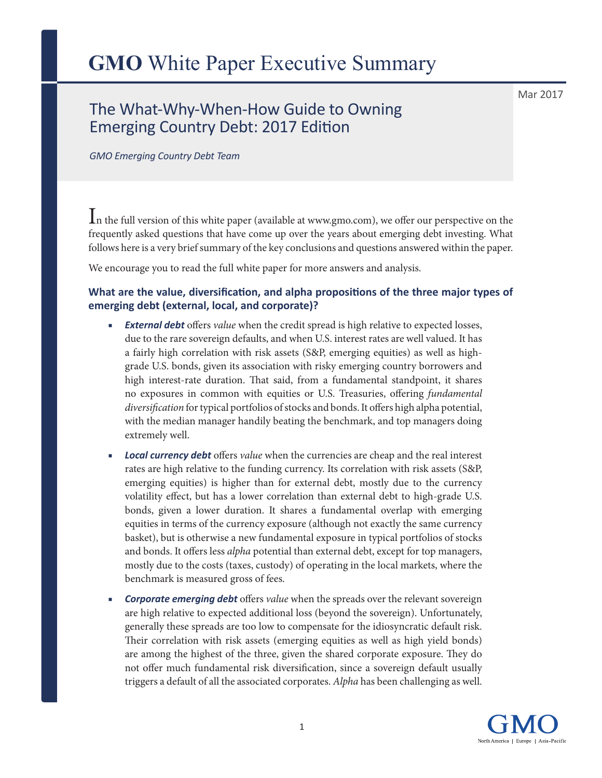# **GMO** White Paper Executive Summary

## The What-Why-When-How Guide to Owning Emerging Country Debt: 2017 Edition

Mar 2017

*GMO Emerging Country Debt Team*

In the full version of this white paper (available at www.gmo.com), we offer our perspective on the frequently asked questions that have come up over the years about emerging debt investing. What follows here is a very brief summary of the key conclusions and questions answered within the paper.

We encourage you to read the full white paper for more answers and analysis.

#### **What are the value, diversification, and alpha propositions of the three major types of emerging debt (external, local, and corporate)?**

- *External debt* offers *value* when the credit spread is high relative to expected losses, due to the rare sovereign defaults, and when U.S. interest rates are well valued. It has a fairly high correlation with risk assets (S&P, emerging equities) as well as highgrade U.S. bonds, given its association with risky emerging country borrowers and high interest-rate duration. That said, from a fundamental standpoint, it shares no exposures in common with equities or U.S. Treasuries, offering *fundamental diversification* for typical portfolios of stocks and bonds. It offers high alpha potential, with the median manager handily beating the benchmark, and top managers doing extremely well.
- *Local currency debt* offers *value* when the currencies are cheap and the real interest rates are high relative to the funding currency. Its correlation with risk assets (S&P, emerging equities) is higher than for external debt, mostly due to the currency volatility effect, but has a lower correlation than external debt to high-grade U.S. bonds, given a lower duration. It shares a fundamental overlap with emerging equities in terms of the currency exposure (although not exactly the same currency basket), but is otherwise a new fundamental exposure in typical portfolios of stocks and bonds. It offers less *alpha* potential than external debt, except for top managers, mostly due to the costs (taxes, custody) of operating in the local markets, where the benchmark is measured gross of fees.
- **Corporate emerging debt** offers *value* when the spreads over the relevant sovereign are high relative to expected additional loss (beyond the sovereign). Unfortunately, generally these spreads are too low to compensate for the idiosyncratic default risk. Their correlation with risk assets (emerging equities as well as high yield bonds) are among the highest of the three, given the shared corporate exposure. They do not offer much fundamental risk diversification, since a sovereign default usually triggers a default of all the associated corporates. *Alpha* has been challenging as well.